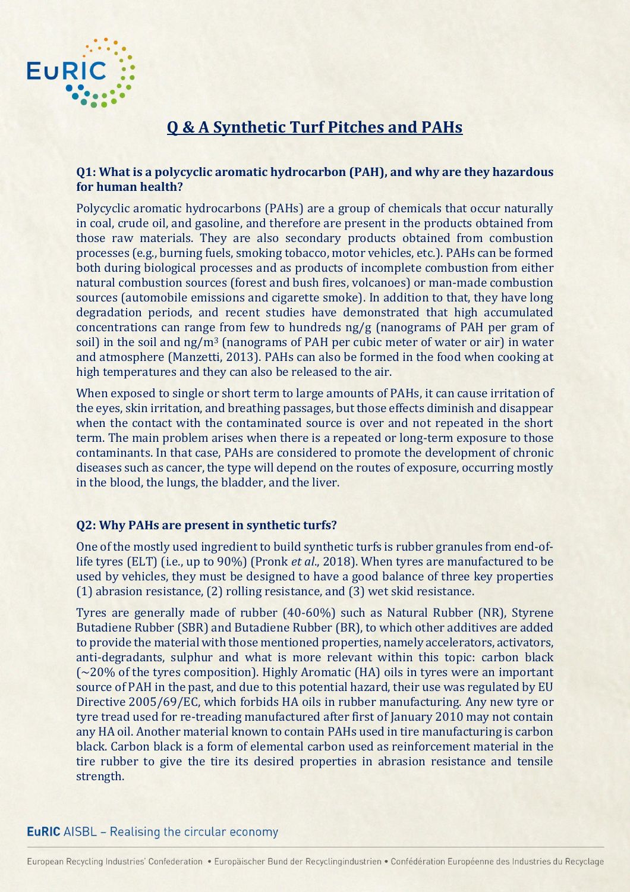

# **Q & A Synthetic Turf Pitches and PAHs**

# **Q1: What is a polycyclic aromatic hydrocarbon (PAH), and why are they hazardous for human health?**

Polycyclic aromatic hydrocarbons (PAHs) are a group of chemicals that occur naturally in coal, crude oil, and gasoline, and therefore are present in the products obtained from those raw materials. They are also secondary products obtained from combustion processes (e.g., burning fuels, smoking tobacco, motor vehicles, etc.). PAHs can be formed both during biological processes and as products of incomplete combustion from either natural combustion sources (forest and bush fires, volcanoes) or man-made combustion sources (automobile emissions and cigarette smoke). In addition to that, they have long degradation periods, and recent studies have demonstrated that high accumulated concentrations can range from few to hundreds ng/g (nanograms of PAH per gram of soil) in the soil and ng/m<sup>3</sup> (nanograms of PAH per cubic meter of water or air) in water and atmosphere (Manzetti, 2013). PAHs can also be formed in the food when cooking at high temperatures and they can also be released to the air.

When exposed to single or short term to large amounts of PAHs, it can cause irritation of the eyes, skin irritation, and breathing passages, but those effects diminish and disappear when the contact with the contaminated source is over and not repeated in the short term. The main problem arises when there is a repeated or long-term exposure to those contaminants. In that case, PAHs are considered to promote the development of chronic diseases such as cancer, the type will depend on the routes of exposure, occurring mostly in the blood, the lungs, the bladder, and the liver.

# **Q2: Why PAHs are present in synthetic turfs?**

One of the mostly used ingredient to build synthetic turfs is rubber granules from end-oflife tyres (ELT) (i.e., up to 90%) (Pronk *et al*., 2018). When tyres are manufactured to be used by vehicles, they must be designed to have a good balance of three key properties (1) abrasion resistance, (2) rolling resistance, and (3) wet skid resistance.

Tyres are generally made of rubber (40-60%) such as Natural Rubber (NR), Styrene Butadiene Rubber (SBR) and Butadiene Rubber (BR), to which other additives are added to provide the material with those mentioned properties, namely accelerators, activators, anti-degradants, sulphur and what is more relevant within this topic: carbon black (~20% of the tyres composition). Highly Aromatic (HA) oils in tyres were an important source of PAH in the past, and due to this potential hazard, their use was regulated by EU Directive 2005/69/EC, which forbids HA oils in rubber manufacturing. Any new tyre or tyre tread used for re-treading manufactured after first of January 2010 may not contain any HA oil. Another material known to contain PAHs used in tire manufacturing is carbon black. Carbon black is a form of elemental carbon used as reinforcement material in the tire rubber to give the tire its desired properties in abrasion resistance and tensile strength.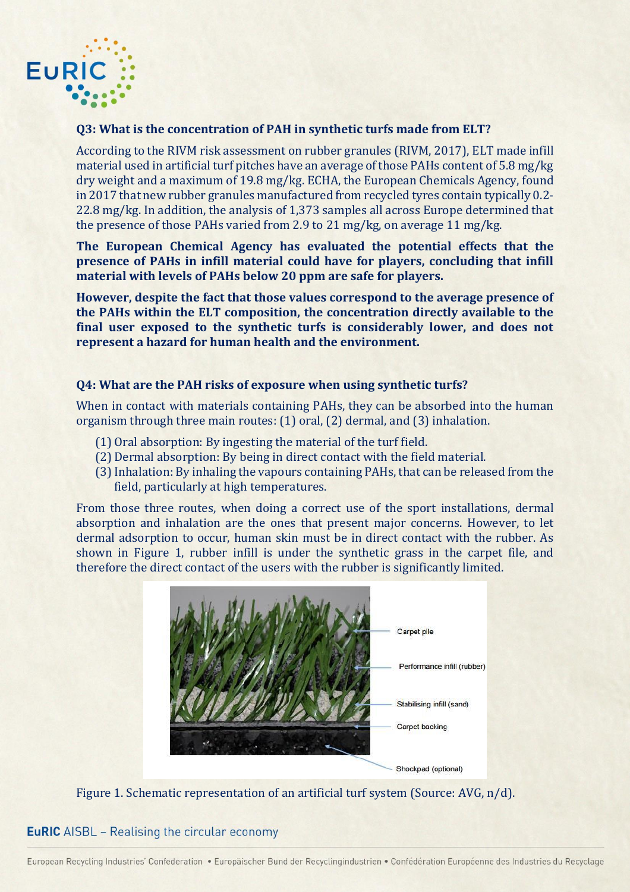

#### **Q3: What is the concentration of PAH in synthetic turfs made from ELT?**

According to the RIVM risk assessment on rubber granules (RIVM, 2017), ELT made infill material used in artificial turf pitches have an average of those PAHs content of 5.8 mg/kg dry weight and a maximum of 19.8 mg/kg. ECHA, the European Chemicals Agency, found in 2017 that new rubber granules manufactured from recycled tyres contain typically 0.2- 22.8 mg/kg. In addition, the analysis of 1,373 samples all across Europe determined that the presence of those PAHs varied from 2.9 to 21 mg/kg, on average 11 mg/kg.

**The European Chemical Agency has evaluated the potential effects that the presence of PAHs in infill material could have for players, concluding that infill material with levels of PAHs below 20 ppm are safe for players.**

**However, despite the fact that those values correspond to the average presence of the PAHs within the ELT composition, the concentration directly available to the final user exposed to the synthetic turfs is considerably lower, and does not represent a hazard for human health and the environment.** 

#### **Q4: What are the PAH risks of exposure when using synthetic turfs?**

When in contact with materials containing PAHs, they can be absorbed into the human organism through three main routes: (1) oral, (2) dermal, and (3) inhalation.

- (1) Oral absorption: By ingesting the material of the turf field.
- (2) Dermal absorption: By being in direct contact with the field material.
- (3)Inhalation: By inhaling the vapours containing PAHs, that can be released from the field, particularly at high temperatures.

From those three routes, when doing a correct use of the sport installations, dermal absorption and inhalation are the ones that present major concerns. However, to let dermal adsorption to occur, human skin must be in direct contact with the rubber. As shown in Figure 1, rubber infill is under the synthetic grass in the carpet file, and therefore the direct contact of the users with the rubber is significantly limited.



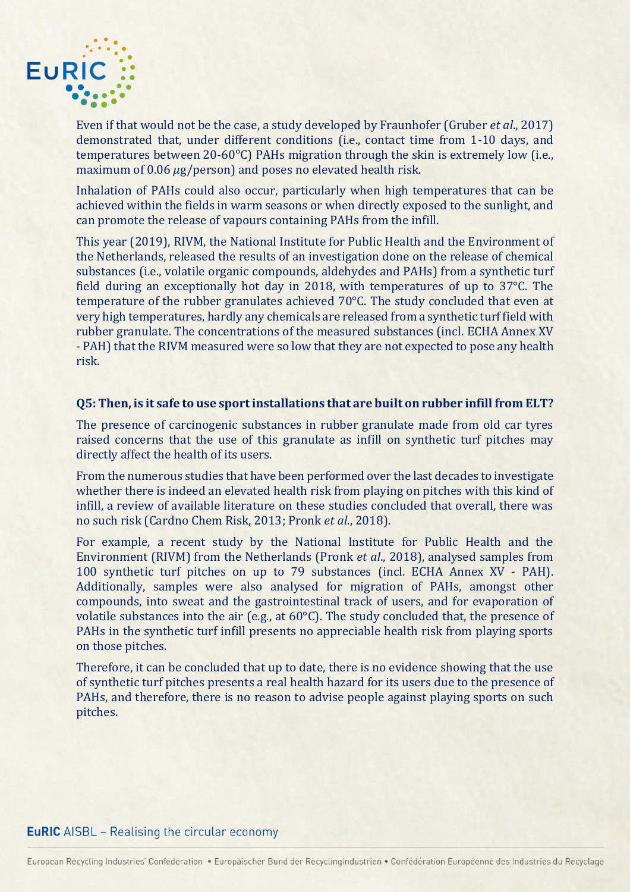

Even if that would not be the case, a study developed by Fraunhofer (Gruber *et al*., 2017) demonstrated that, under different conditions (i.e., contact time from 1-10 days, and temperatures between 20-60°C) PAHs migration through the skin is extremely low (i.e., maximum of  $0.06 \mu g$ /person) and poses no elevated health risk.

Inhalation of PAHs could also occur, particularly when high temperatures that can be achieved within the fields in warm seasons or when directly exposed to the sunlight, and can promote the release of vapours containing PAHs from the infill.

This year (2019), RIVM, the National Institute for Public Health and the Environment of the Netherlands, released the results of an investigation done on the release of chemical substances (i.e., volatile organic compounds, aldehydes and PAHs) from a synthetic turf field during an exceptionally hot day in 2018, with temperatures of up to 37°C. The temperature of the rubber granulates achieved 70°C. The study concluded that even at very high temperatures, hardly any chemicals are released from a synthetic turf field with rubber granulate. The concentrations of the measured substances (incl. ECHA Annex XV - PAH) that the RIVM measured were so low that they are not expected to pose any health risk.

#### **Q5: Then, is it safe to use sport installations that are built on rubber infill from ELT?**

The presence of carcinogenic substances in rubber granulate made from old car tyres raised concerns that the use of this granulate as infill on synthetic turf pitches may directly affect the health of its users.

From the numerous studies that have been performed over the last decades to investigate whether there is indeed an elevated health risk from playing on pitches with this kind of infill, a review of available literature on these studies concluded that overall, there was no such risk (Cardno Chem Risk, 2013; Pronk *et al*., 2018).

For example, a recent study by the National Institute for Public Health and the Environment (RIVM) from the Netherlands (Pronk *et al*., 2018), analysed samples from 100 synthetic turf pitches on up to 79 substances (incl. ECHA Annex XV - PAH). Additionally, samples were also analysed for migration of PAHs, amongst other compounds, into sweat and the gastrointestinal track of users, and for evaporation of volatile substances into the air (e.g., at 60°C). The study concluded that, the presence of PAHs in the synthetic turf infill presents no appreciable health risk from playing sports on those pitches.

Therefore, it can be concluded that up to date, there is no evidence showing that the use of synthetic turf pitches presents a real health hazard for its users due to the presence of PAHs, and therefore, there is no reason to advise people against playing sports on such pitches.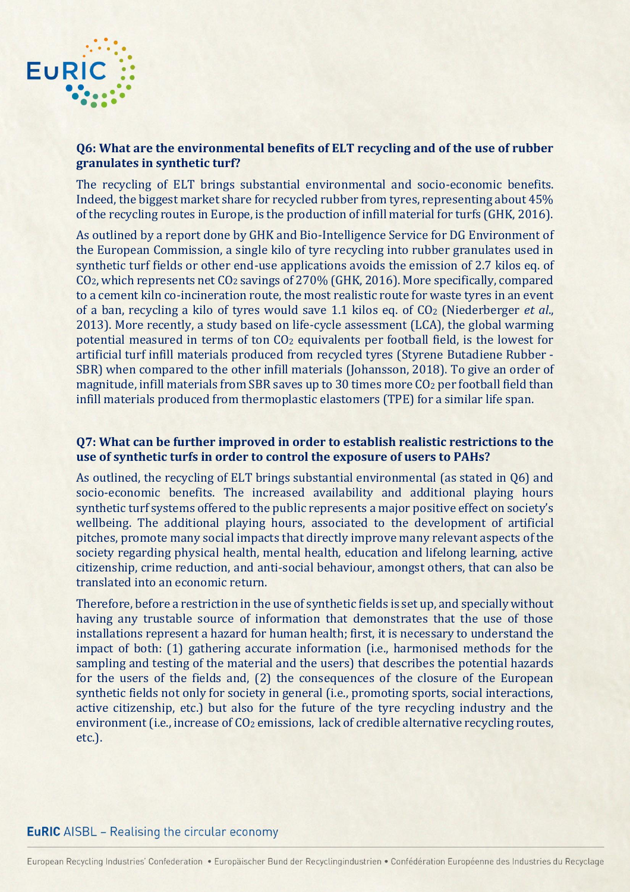

# **Q6: What are the environmental benefits of ELT recycling and of the use of rubber granulates in synthetic turf?**

The recycling of ELT brings substantial environmental and socio-economic benefits. Indeed, the biggest market share for recycled rubber from tyres, representing about 45% of the recycling routes in Europe, is the production of infill material for turfs (GHK, 2016).

As outlined by a report done by GHK and Bio-Intelligence Service for DG Environment of the European Commission, a single kilo of tyre recycling into rubber granulates used in synthetic turf fields or other end-use applications avoids the emission of 2.7 kilos eq. of CO2, which represents net CO<sup>2</sup> savings of 270% (GHK, 2016). More specifically, compared to a cement kiln co-incineration route, the most realistic route for waste tyres in an event of a ban, recycling a kilo of tyres would save 1.1 kilos eq. of CO<sup>2</sup> (Niederberger *et al*., 2013). More recently, a study based on life-cycle assessment (LCA), the global warming potential measured in terms of ton CO<sup>2</sup> equivalents per football field, is the lowest for artificial turf infill materials produced from recycled tyres (Styrene Butadiene Rubber - SBR) when compared to the other infill materials (Johansson, 2018). To give an order of magnitude, infill materials from SBR saves up to 30 times more CO<sup>2</sup> per football field than infill materials produced from thermoplastic elastomers (TPE) for a similar life span.

#### **Q7: What can be further improved in order to establish realistic restrictions to the use of synthetic turfs in order to control the exposure of users to PAHs?**

As outlined, the recycling of ELT brings substantial environmental (as stated in Q6) and socio-economic benefits. The increased availability and additional playing hours synthetic turf systems offered to the public represents a major positive effect on society's wellbeing. The additional playing hours, associated to the development of artificial pitches, promote many social impacts that directly improve many relevant aspects of the society regarding physical health, mental health, education and lifelong learning, active citizenship, crime reduction, and anti-social behaviour, amongst others, that can also be translated into an economic return.

Therefore, before a restriction in the use of synthetic fields is set up, and specially without having any trustable source of information that demonstrates that the use of those installations represent a hazard for human health; first, it is necessary to understand the impact of both: (1) gathering accurate information (i.e., harmonised methods for the sampling and testing of the material and the users) that describes the potential hazards for the users of the fields and, (2) the consequences of the closure of the European synthetic fields not only for society in general (i.e., promoting sports, social interactions, active citizenship, etc.) but also for the future of the tyre recycling industry and the environment (i.e., increase of CO<sub>2</sub> emissions, lack of credible alternative recycling routes, etc.).